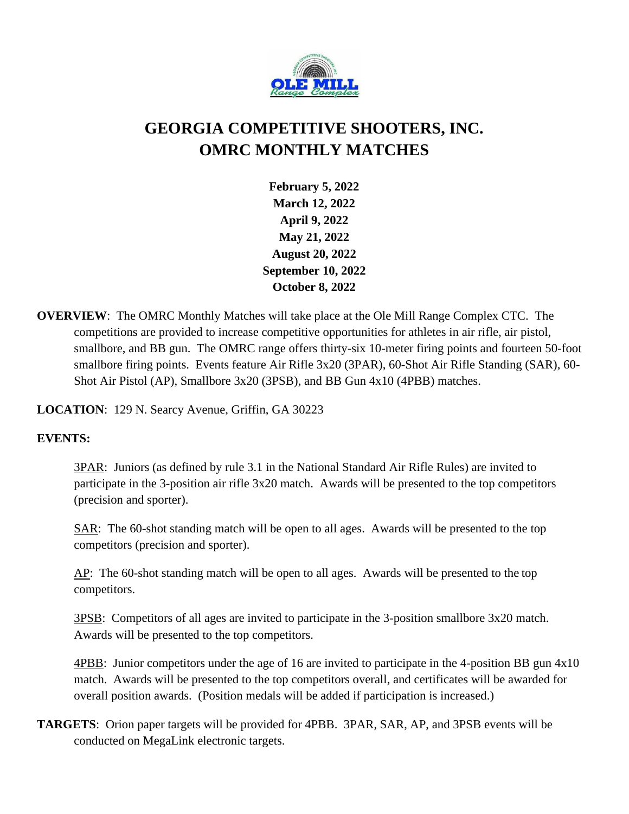

## **GEORGIA COMPETITIVE SHOOTERS, INC. OMRC MONTHLY MATCHES**

**February 5, 2022 March 12, 2022 April 9, 2022 May 21, 2022 August 20, 2022 September 10, 2022 October 8, 2022**

**OVERVIEW**: The OMRC Monthly Matches will take place at the Ole Mill Range Complex CTC. The competitions are provided to increase competitive opportunities for athletes in air rifle, air pistol, smallbore, and BB gun. The OMRC range offers thirty-six 10-meter firing points and fourteen 50-foot smallbore firing points. Events feature Air Rifle 3x20 (3PAR), 60-Shot Air Rifle Standing (SAR), 60- Shot Air Pistol (AP), Smallbore 3x20 (3PSB), and BB Gun 4x10 (4PBB) matches.

**LOCATION**: 129 N. Searcy Avenue, Griffin, GA 30223

## **EVENTS:**

3PAR: Juniors (as defined by rule 3.1 in the National Standard Air Rifle Rules) are invited to participate in the 3-position air rifle 3x20 match. Awards will be presented to the top competitors (precision and sporter).

SAR: The 60-shot standing match will be open to all ages. Awards will be presented to the top competitors (precision and sporter).

AP: The 60-shot standing match will be open to all ages. Awards will be presented to the top competitors.

3PSB: Competitors of all ages are invited to participate in the 3-position smallbore 3x20 match. Awards will be presented to the top competitors.

4PBB: Junior competitors under the age of 16 are invited to participate in the 4-position BB gun 4x10 match. Awards will be presented to the top competitors overall, and certificates will be awarded for overall position awards. (Position medals will be added if participation is increased.)

**TARGETS**:Orion paper targets will be provided for 4PBB. 3PAR, SAR, AP, and 3PSB events will be conducted on MegaLink electronic targets.